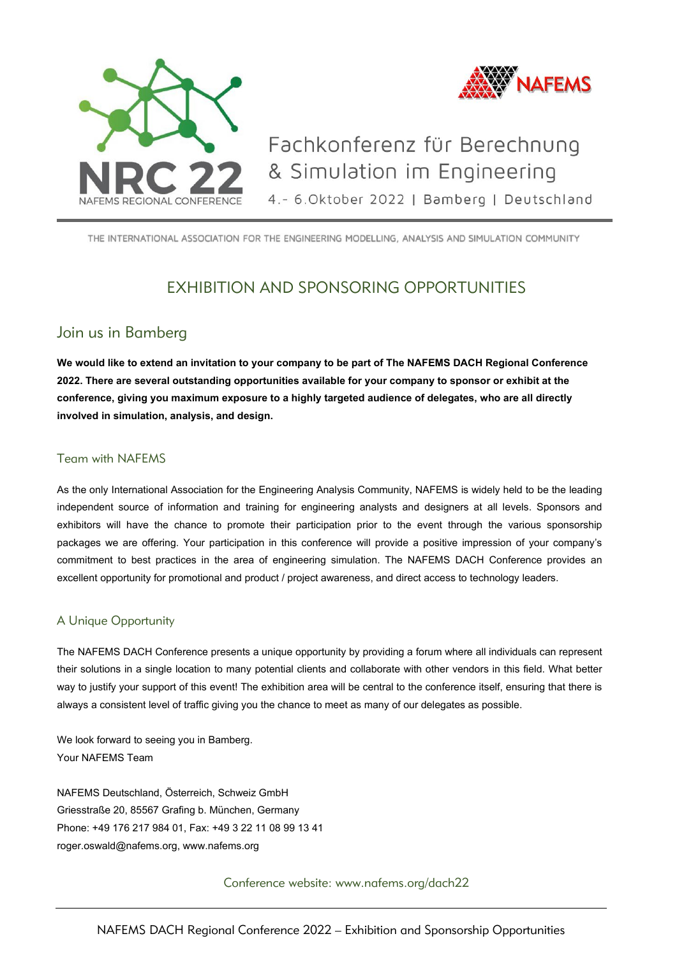

THE INTERNATIONAL ASSOCIATION FOR THE ENGINEERING MODELLING, ANALYSIS AND SIMULATION COMMUNITY

# EXHIBITION AND SPONSORING OPPORTUNITIES

## Join us in Bamberg

**We would like to extend an invitation to your company to be part of The NAFEMS DACH Regional Conference 2022. There are several outstanding opportunities available for your company to sponsor or exhibit at the conference, giving you maximum exposure to a highly targeted audience of delegates, who are all directly involved in simulation, analysis, and design.**

### Team with NAFEMS

As the only International Association for the Engineering Analysis Community, NAFEMS is widely held to be the leading independent source of information and training for engineering analysts and designers at all levels. Sponsors and exhibitors will have the chance to promote their participation prior to the event through the various sponsorship packages we are offering. Your participation in this conference will provide a positive impression of your company's commitment to best practices in the area of engineering simulation. The NAFEMS DACH Conference provides an excellent opportunity for promotional and product / project awareness, and direct access to technology leaders.

### A Unique Opportunity

The NAFEMS DACH Conference presents a unique opportunity by providing a forum where all individuals can represent their solutions in a single location to many potential clients and collaborate with other vendors in this field. What better way to justify your support of this event! The exhibition area will be central to the conference itself, ensuring that there is always a consistent level of traffic giving you the chance to meet as many of our delegates as possible.

We look forward to seeing you in Bamberg. Your NAFEMS Team

NAFEMS Deutschland, Österreich, Schweiz GmbH Griesstraße 20, 85567 Grafing b. München, Germany Phone: +49 176 217 984 01, Fax: +49 3 22 11 08 99 13 41 [roger.oswald@nafems.org,](mailto:roger.oswald@nafems.org) [www.nafems.org](http://www.nafems.org/)

Conference website: www.nafems.org/dach22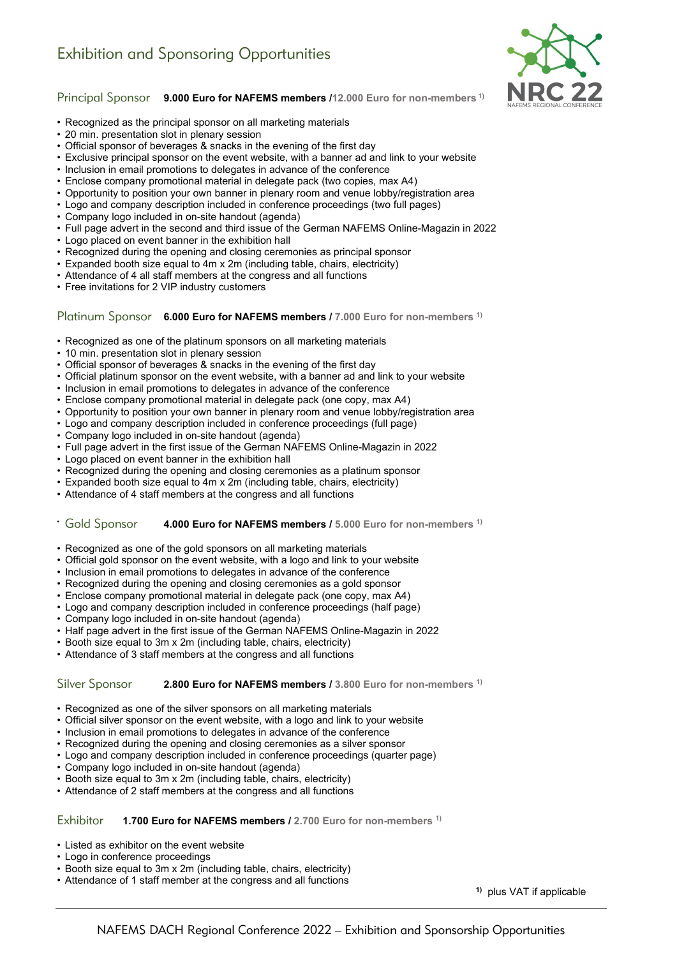

Principal Sponsor **9.000 Euro for NAFEMS members /12.000 Euro for non-members 1)**

- Recognized as the principal sponsor on all marketing materials
- 20 min. presentation slot in plenary session
- Official sponsor of beverages & snacks in the evening of the first day
- Exclusive principal sponsor on the event website, with a banner ad and link to your website
- Inclusion in email promotions to delegates in advance of the conference
- Enclose company promotional material in delegate pack (two copies, max A4)
- Opportunity to position your own banner in plenary room and venue lobby/registration area
- Logo and company description included in conference proceedings (two full pages)
- Company logo included in on-site handout (agenda)
- Full page advert in the second and third issue of the German NAFEMS Online-Magazin in 2022
- Logo placed on event banner in the exhibition hall
- Recognized during the opening and closing ceremonies as principal sponsor
- Expanded booth size equal to 4m x 2m (including table, chairs, electricity)
- Attendance of 4 all staff members at the congress and all functions
- Free invitations for 2 VIP industry customers

Platinum Sponsor **6.000 Euro for NAFEMS members / 7.000 Euro for non-members 1)**

- Recognized as one of the platinum sponsors on all marketing materials
- 10 min. presentation slot in plenary session
- Official sponsor of beverages & snacks in the evening of the first day
- Official platinum sponsor on the event website, with a banner ad and link to your website
- Inclusion in email promotions to delegates in advance of the conference
- Enclose company promotional material in delegate pack (one copy, max A4)
- Opportunity to position your own banner in plenary room and venue lobby/registration area
- Logo and company description included in conference proceedings (full page)
- Company logo included in on-site handout (agenda)
- Full page advert in the first issue of the German NAFEMS Online-Magazin in 2022
- Logo placed on event banner in the exhibition hall
- Recognized during the opening and closing ceremonies as a platinum sponsor
- Expanded booth size equal to 4m x 2m (including table, chairs, electricity)
- Attendance of 4 staff members at the congress and all functions

#### • Gold Sponsor **4.000 Euro for NAFEMS members / 5.000 Euro for non-members 1)**

- Recognized as one of the gold sponsors on all marketing materials
- Official gold sponsor on the event website, with a logo and link to your website
- Inclusion in email promotions to delegates in advance of the conference
- Recognized during the opening and closing ceremonies as a gold sponsor
- Enclose company promotional material in delegate pack (one copy, max A4)
- Logo and company description included in conference proceedings (half page)
- Company logo included in on-site handout (agenda)
- Half page advert in the first issue of the German NAFEMS Online-Magazin in 2022
- Booth size equal to 3m x 2m (including table, chairs, electricity)
- Attendance of 3 staff members at the congress and all functions

#### Silver Sponsor **2.800 Euro for NAFEMS members / 3.800 Euro for non-members 1)**

- Recognized as one of the silver sponsors on all marketing materials
- Official silver sponsor on the event website, with a logo and link to your website
- Inclusion in email promotions to delegates in advance of the conference
- Recognized during the opening and closing ceremonies as a silver sponsor
- Logo and company description included in conference proceedings (quarter page)
- Company logo included in on-site handout (agenda)
- Booth size equal to 3m x 2m (including table, chairs, electricity)
- Attendance of 2 staff members at the congress and all functions

#### Exhibitor **1.700 Euro for NAFEMS members / 2.700 Euro for non-members 1)**

- Listed as exhibitor on the event website
- Logo in conference proceedings
- Booth size equal to 3m x 2m (including table, chairs, electricity)
- Attendance of 1 staff member at the congress and all functions

**1)** plus VAT if applicable